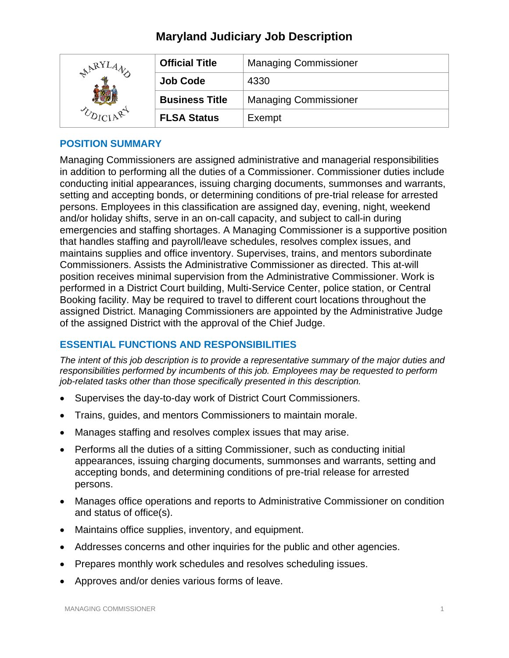| LARYI | <b>Official Title</b> | <b>Managing Commissioner</b> |
|-------|-----------------------|------------------------------|
|       | <b>Job Code</b>       | 4330                         |
|       | <b>Business Title</b> | <b>Managing Commissioner</b> |
|       | <b>FLSA Status</b>    | Exempt                       |

## **POSITION SUMMARY**

Managing Commissioners are assigned administrative and managerial responsibilities in addition to performing all the duties of a Commissioner. Commissioner duties include conducting initial appearances, issuing charging documents, summonses and warrants, setting and accepting bonds, or determining conditions of pre-trial release for arrested persons. Employees in this classification are assigned day, evening, night, weekend and/or holiday shifts, serve in an on-call capacity, and subject to call-in during emergencies and staffing shortages. A Managing Commissioner is a supportive position that handles staffing and payroll/leave schedules, resolves complex issues, and maintains supplies and office inventory. Supervises, trains, and mentors subordinate Commissioners. Assists the Administrative Commissioner as directed. This at-will position receives minimal supervision from the Administrative Commissioner. Work is performed in a District Court building, Multi-Service Center, police station, or Central Booking facility. May be required to travel to different court locations throughout the assigned District. Managing Commissioners are appointed by the Administrative Judge of the assigned District with the approval of the Chief Judge.

## **ESSENTIAL FUNCTIONS AND RESPONSIBILITIES**

*The intent of this job description is to provide a representative summary of the major duties and responsibilities performed by incumbents of this job. Employees may be requested to perform job-related tasks other than those specifically presented in this description.*

- Supervises the day-to-day work of District Court Commissioners.
- Trains, guides, and mentors Commissioners to maintain morale.
- Manages staffing and resolves complex issues that may arise.
- Performs all the duties of a sitting Commissioner, such as conducting initial appearances, issuing charging documents, summonses and warrants, setting and accepting bonds, and determining conditions of pre-trial release for arrested persons.
- Manages office operations and reports to Administrative Commissioner on condition and status of office(s).
- Maintains office supplies, inventory, and equipment.
- Addresses concerns and other inquiries for the public and other agencies.
- Prepares monthly work schedules and resolves scheduling issues.
- Approves and/or denies various forms of leave.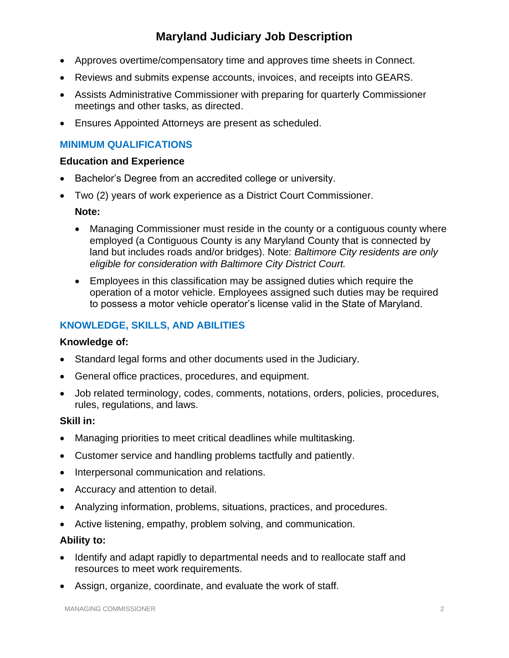- Approves overtime/compensatory time and approves time sheets in Connect.
- Reviews and submits expense accounts, invoices, and receipts into GEARS.
- Assists Administrative Commissioner with preparing for quarterly Commissioner meetings and other tasks, as directed.
- Ensures Appointed Attorneys are present as scheduled.

## **MINIMUM QUALIFICATIONS**

#### **Education and Experience**

- Bachelor's Degree from an accredited college or university.
- Two (2) years of work experience as a District Court Commissioner.

#### **Note:**

- Managing Commissioner must reside in the county or a contiguous county where employed (a Contiguous County is any Maryland County that is connected by land but includes roads and/or bridges). Note: *Baltimore City residents are only eligible for consideration with Baltimore City District Court.*
- Employees in this classification may be assigned duties which require the operation of a motor vehicle. Employees assigned such duties may be required to possess a motor vehicle operator's license valid in the State of Maryland.

# **KNOWLEDGE, SKILLS, AND ABILITIES**

#### **Knowledge of:**

- Standard legal forms and other documents used in the Judiciary.
- General office practices, procedures, and equipment.
- Job related terminology, codes, comments, notations, orders, policies, procedures, rules, regulations, and laws.

#### **Skill in:**

- Managing priorities to meet critical deadlines while multitasking.
- Customer service and handling problems tactfully and patiently.
- Interpersonal communication and relations.
- Accuracy and attention to detail.
- Analyzing information, problems, situations, practices, and procedures.
- Active listening, empathy, problem solving, and communication.

#### **Ability to:**

- Identify and adapt rapidly to departmental needs and to reallocate staff and resources to meet work requirements.
- Assign, organize, coordinate, and evaluate the work of staff.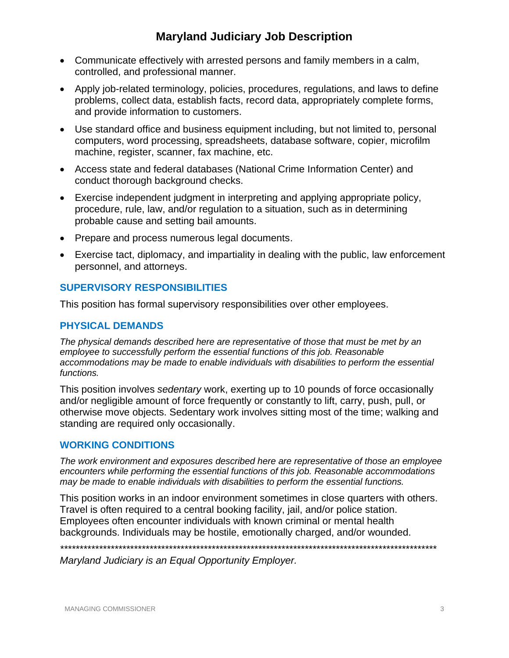- Communicate effectively with arrested persons and family members in a calm, controlled, and professional manner.
- Apply job-related terminology, policies, procedures, regulations, and laws to define problems, collect data, establish facts, record data, appropriately complete forms, and provide information to customers.
- Use standard office and business equipment including, but not limited to, personal computers, word processing, spreadsheets, database software, copier, microfilm machine, register, scanner, fax machine, etc.
- Access state and federal databases (National Crime Information Center) and conduct thorough background checks.
- Exercise independent judgment in interpreting and applying appropriate policy, procedure, rule, law, and/or regulation to a situation, such as in determining probable cause and setting bail amounts.
- Prepare and process numerous legal documents.
- Exercise tact, diplomacy, and impartiality in dealing with the public, law enforcement personnel, and attorneys.

## **SUPERVISORY RESPONSIBILITIES**

This position has formal supervisory responsibilities over other employees.

# **PHYSICAL DEMANDS**

*The physical demands described here are representative of those that must be met by an employee to successfully perform the essential functions of this job. Reasonable accommodations may be made to enable individuals with disabilities to perform the essential functions.*

This position involves *sedentary* work, exerting up to 10 pounds of force occasionally and/or negligible amount of force frequently or constantly to lift, carry, push, pull, or otherwise move objects. Sedentary work involves sitting most of the time; walking and standing are required only occasionally.

#### **WORKING CONDITIONS**

*The work environment and exposures described here are representative of those an employee encounters while performing the essential functions of this job. Reasonable accommodations may be made to enable individuals with disabilities to perform the essential functions.*

This position works in an indoor environment sometimes in close quarters with others. Travel is often required to a central booking facility, jail, and/or police station. Employees often encounter individuals with known criminal or mental health backgrounds. Individuals may be hostile, emotionally charged, and/or wounded.

*\*\*\*\*\*\*\*\*\*\*\*\*\*\*\*\*\*\*\*\*\*\*\*\*\*\*\*\*\*\*\*\*\*\*\*\*\*\*\*\*\*\*\*\*\*\*\*\*\*\*\*\*\*\*\*\*\*\*\*\*\*\*\*\*\*\*\*\*\*\*\*\*\*\*\*\*\*\*\*\*\*\*\*\*\*\*\*\*\*\*\*\*\*\*\*\*\**

*Maryland Judiciary is an Equal Opportunity Employer.*